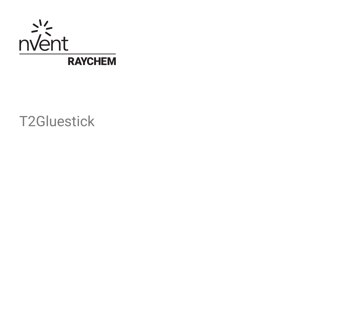

T2Gluestick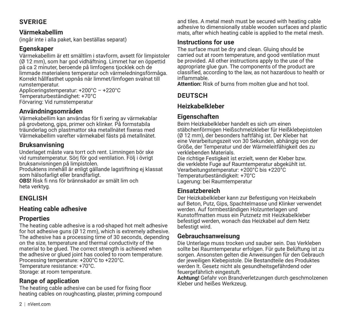# **SVERIGE**

#### **Värmekabellim**

(ingår inte i alla paket, kan beställas separat)

# **Egenskaper**

Värmekabellim är ett smältlim i stavform, avsett för limpistoler (Ø 12 mm), som har god vidhäftning. Limmet har en öppettid på ca 2 minuter, beroende på limfogens tjocklek och de limmade materialens temperatur och värmeledningsförmåga. Korrekt hållfasthet uppnås när limmet/limfogen svalnat till rumstemperatur.

Appliceringstemperatur: +200°C – +220°C Temperaturbeständighet: +70°C Förvaring: Vid rumstemperatur

# **Användningsområden**

Värmekabellim kan användas för fi xering av värmekablar på grovbetong, gips, primer och klinker. På formstabila träunderlag och plastmattor ska metallnätet fixeras med Värmekabellim varefter värmekabel fästs på metallnätet.

# **Bruksanvisning**

Underlaget måste vara torrt och rent. Limningen bör ske vid rumstemperatur. Sörj för god ventilation. Följ i övrigt bruksanvisningen på limpistolen.

Produktens innehåll är enligt gällande lagstiftning ej klassat som hälsofarligt eller brandfarligt.

**OBS!** Risk fi nns för brännskador av smält lim och heta verktyg.

# **ENGLISH**

# **Heating cable adhesive**

# **Properties**

The heating cable adhesive is a rod-shaped hot melt adhesive for hot adhesive guns (Ø 12 mm), which is extremely adhesive. The adhesive has a processing time of 30 seconds, depending on the size, temperature and thermal conductivity of the material to be glued. The correct strength is achieved when the adhesive or glued joint has cooled to room temperature. Processing temperature: +200°C to +220°C. Temperature resistance: +70°C. Storage: at room temperature.

# **Range of application**

The heating cable adhesive can be used for fixing floor heating cables on roughcasting, plaster, priming compound and tiles. A metal mesh must be secured with heating cable adhesive to dimensionally stable wooden surfaces and plastic mats, after which heating cable is applied to the metal mesh.

### **Instructions for use**

The surface must be dry and clean. Gluing should be carried out at room temperature, and good ventilation must be provided. All other instructions apply to the use of the appropriate glue gun. The components of the product are classified, according to the law, as not hazardous to health or inflammable.

**Attention:** Risk of burns from molten glue and hot tool.

# **DEUTSCH**

# **Heizkabelkleber**

# **Eigenschaften**

Beim Heizkabelkleber handelt es sich um einen stäbchenförmigen Heißschmelzkleber für Heißklebepistolen (Ø 12 mm), der besonders haftfähig ist. Der Kleber hat eine Verarbeitungszeit von 30 Sekunden, abhängig von der Größe, der Temperatur und der Wärmeleitfähigkeit des zu verklebenden Materials.

Die richtige Festigkeit ist erzielt, wenn der Kleber bzw. die verklebte Fuge auf Raumtemperatur abgekühlt ist. Verarbeitungstemperatur: +200°C bis +220°C Temperaturbeständigkeit: +70°C Lagerung: bei Raumtemperatur

# **Einsatzbereich**

Der Heizkabelkleber kann zur Befestigung von Heizkabeln auf Beton, Putz, Gips, Spachtelmasse und Klinker verwendet werden. Auf formbeständigen Holzunterlagen und Kunstoffmatten muss ein Putznetz mit Heizkabelkleber befestigd werden, wonach das Heizkabel auf dem Netz befestigt wird.

## **Gebrauchsanweisung**

Die Unterlage muss trocken und sauber sein. Das Verkleben sollte bei Raumtemperatur erfolgen. Für gute Belüftung ist zu sorgen. Ansonsten gelten die Anweisungen für den Gebrauch der jeweiligen Klebepistole. Die Bestandteile des Produktes werden lt. Gesetz nicht als gesundheitsgefährdend oder feuergefährlich eingestuft.

**Achtung!** Gefahr von Brandverletzungen durch geschmolzenen Kleber und heißes Werkzeug.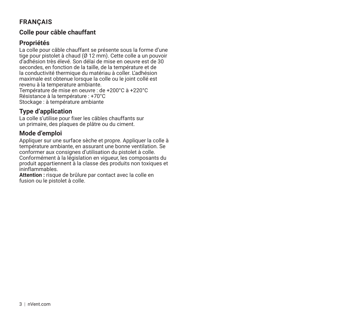# **FRANÇAIS**

#### **Colle pour câble chauffant**

## **Propriétés**

La colle pour câble chauffant se présente sous la forme d'une tige pour pistolet à chaud (Ø 12 mm). Cette colle a un pouvoir d'adhésion très élevé. Son délai de mise en oeuvre est de 30 secondes, en fonction de la taille, de la température et de la conductivité thermique du matériau à coller. L'adhésion maximale est obtenue lorsque la colle ou le joint collé est revenu à la temperature ambiante. Température de mise en oeuvre : de +200°C à +220°C Résistance à la température : +70°C Stockage : à température ambiante

# **Type d'application**

La colle s'utilise pour fixer les câbles chauffants sur un primaire, des plaques de plâtre ou du ciment.

# **Mode d'emploi**

Appliquer sur une surface sèche et propre. Appliquer la colle à température ambiante, en assurant une bonne ventilation. Se conformer aux consignes d'utilisation du pistolet à colle. Conformément à la législation en vigueur, les composants du produit appartiennent à la classe des produits non toxiques et ininflammables.

**Attention :** risque de brûlure par contact avec la colle en fusion ou le pistolet à colle.